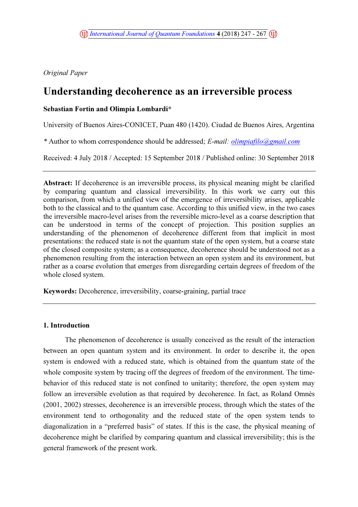Original Paper

# Understanding decoherence as an irreversible process

# Sebastian Fortin and Olimpia Lombardi\*

University of Buenos Aires-CONICET, Puan 480 (1420). Ciudad de Buenos Aires, Argentina

\* Author to whom correspondence should be addressed; E-mail: olimpiafilo@gmail.com

Received: 4 July 2018 / Accepted: 15 September 2018 / Published online: 30 September 2018

Abstract: If decoherence is an irreversible process, its physical meaning might be clarified by comparing quantum and classical irreversibility. In this work we carry out this comparison, from which a unified view of the emergence of irreversibility arises, applicable both to the classical and to the quantum case. According to this unified view, in the two cases the irreversible macro-level arises from the reversible micro-level as a coarse description that can be understood in terms of the concept of projection. This position supplies an understanding of the phenomenon of decoherence different from that implicit in most presentations: the reduced state is not the quantum state of the open system, but a coarse state of the closed composite system; as a consequence, decoherence should be understood not as a phenomenon resulting from the interaction between an open system and its environment, but rather as a coarse evolution that emerges from disregarding certain degrees of freedom of the whole closed system.

Keywords: Decoherence, irreversibility, coarse-graining, partial trace

## 1. Introduction

The phenomenon of decoherence is usually conceived as the result of the interaction between an open quantum system and its environment. In order to describe it, the open system is endowed with a reduced state, which is obtained from the quantum state of the whole composite system by tracing off the degrees of freedom of the environment. The timebehavior of this reduced state is not confined to unitarity; therefore, the open system may follow an irreversible evolution as that required by decoherence. In fact, as Roland Omnès (2001, 2002) stresses, decoherence is an irreversible process, through which the states of the environment tend to orthogonality and the reduced state of the open system tends to diagonalization in a "preferred basis" of states. If this is the case, the physical meaning of decoherence might be clarified by comparing quantum and classical irreversibility; this is the general framework of the present work.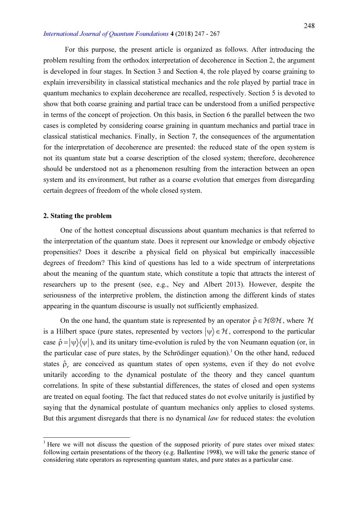For this purpose, the present article is organized as follows. After introducing the problem resulting from the orthodox interpretation of decoherence in Section 2, the argument is developed in four stages. In Section 3 and Section 4, the role played by coarse graining to explain irreversibility in classical statistical mechanics and the role played by partial trace in quantum mechanics to explain decoherence are recalled, respectively. Section 5 is devoted to show that both coarse graining and partial trace can be understood from a unified perspective in terms of the concept of projection. On this basis, in Section 6 the parallel between the two cases is completed by considering coarse graining in quantum mechanics and partial trace in classical statistical mechanics. Finally, in Section 7, the consequences of the argumentation for the interpretation of decoherence are presented: the reduced state of the open system is not its quantum state but a coarse description of the closed system; therefore, decoherence should be understood not as a phenomenon resulting from the interaction between an open system and its environment, but rather as a coarse evolution that emerges from disregarding certain degrees of freedom of the whole closed system.

## 2. Stating the problem

 $\overline{a}$ 

One of the hottest conceptual discussions about quantum mechanics is that referred to the interpretation of the quantum state. Does it represent our knowledge or embody objective propensities? Does it describe a physical field on physical but empirically inaccessible degrees of freedom? This kind of questions has led to a wide spectrum of interpretations about the meaning of the quantum state, which constitute a topic that attracts the interest of researchers up to the present (see, e.g., Ney and Albert 2013). However, despite the seriousness of the interpretive problem, the distinction among the different kinds of states appearing in the quantum discourse is usually not sufficiently emphasized.

On the one hand, the quantum state is represented by an operator  $\hat{\rho} \in \mathcal{H} \otimes \mathcal{H}$ , where  $\mathcal{H}$ is a Hilbert space (pure states, represented by vectors  $|\psi\rangle \in \mathcal{H}$ , correspond to the particular case  $\hat{\rho} = |\psi\rangle\langle\psi|$ ), and its unitary time-evolution is ruled by the von Neumann equation (or, in the particular case of pure states, by the Schrödinger equation).<sup>1</sup> On the other hand, reduced states  $\hat{\rho}_r$  are conceived as quantum states of open systems, even if they do not evolve unitarily according to the dynamical postulate of the theory and they cancel quantum correlations. In spite of these substantial differences, the states of closed and open systems are treated on equal footing. The fact that reduced states do not evolve unitarily is justified by saying that the dynamical postulate of quantum mechanics only applies to closed systems. But this argument disregards that there is no dynamical *law* for reduced states: the evolution

<sup>&</sup>lt;sup>1</sup> Here we will not discuss the question of the supposed priority of pure states over mixed states: following certain presentations of the theory (e.g. Ballentine 1998), we will take the generic stance of considering state operators as representing quantum states, and pure states as a particular case.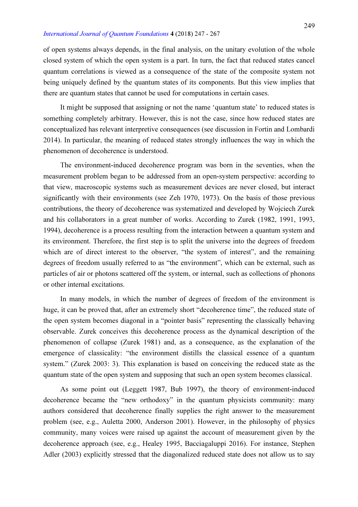of open systems always depends, in the final analysis, on the unitary evolution of the whole closed system of which the open system is a part. In turn, the fact that reduced states cancel quantum correlations is viewed as a consequence of the state of the composite system not being uniquely defined by the quantum states of its components. But this view implies that there are quantum states that cannot be used for computations in certain cases.

It might be supposed that assigning or not the name 'quantum state' to reduced states is something completely arbitrary. However, this is not the case, since how reduced states are conceptualized has relevant interpretive consequences (see discussion in Fortin and Lombardi 2014). In particular, the meaning of reduced states strongly influences the way in which the phenomenon of decoherence is understood.

The environment-induced decoherence program was born in the seventies, when the measurement problem began to be addressed from an open-system perspective: according to that view, macroscopic systems such as measurement devices are never closed, but interact significantly with their environments (see Zeh 1970, 1973). On the basis of those previous contributions, the theory of decoherence was systematized and developed by Wojciech Zurek and his collaborators in a great number of works. According to Zurek (1982, 1991, 1993, 1994), decoherence is a process resulting from the interaction between a quantum system and its environment. Therefore, the first step is to split the universe into the degrees of freedom which are of direct interest to the observer, "the system of interest", and the remaining degrees of freedom usually referred to as "the environment", which can be external, such as particles of air or photons scattered off the system, or internal, such as collections of phonons or other internal excitations.

In many models, in which the number of degrees of freedom of the environment is huge, it can be proved that, after an extremely short "decoherence time", the reduced state of the open system becomes diagonal in a "pointer basis" representing the classically behaving observable. Zurek conceives this decoherence process as the dynamical description of the phenomenon of collapse (Zurek 1981) and, as a consequence, as the explanation of the emergence of classicality: "the environment distills the classical essence of a quantum system." (Zurek 2003: 3). This explanation is based on conceiving the reduced state as the quantum state of the open system and supposing that such an open system becomes classical.

As some point out (Leggett 1987, Bub 1997), the theory of environment-induced decoherence became the "new orthodoxy" in the quantum physicists community: many authors considered that decoherence finally supplies the right answer to the measurement problem (see, e.g., Auletta 2000, Anderson 2001). However, in the philosophy of physics community, many voices were raised up against the account of measurement given by the decoherence approach (see, e.g., Healey 1995, Bacciagaluppi 2016). For instance, Stephen Adler (2003) explicitly stressed that the diagonalized reduced state does not allow us to say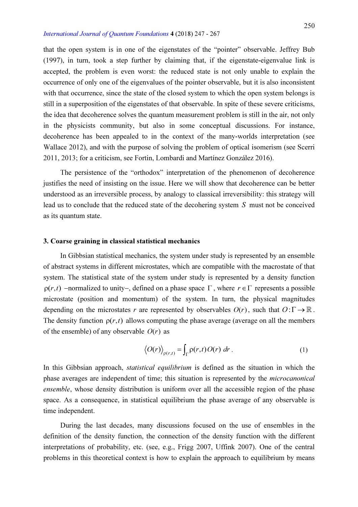that the open system is in one of the eigenstates of the "pointer" observable. Jeffrey Bub (1997), in turn, took a step further by claiming that, if the eigenstate-eigenvalue link is accepted, the problem is even worst: the reduced state is not only unable to explain the occurrence of only one of the eigenvalues of the pointer observable, but it is also inconsistent with that occurrence, since the state of the closed system to which the open system belongs is still in a superposition of the eigenstates of that observable. In spite of these severe criticisms, the idea that decoherence solves the quantum measurement problem is still in the air, not only in the physicists community, but also in some conceptual discussions. For instance, decoherence has been appealed to in the context of the many-worlds interpretation (see Wallace 2012), and with the purpose of solving the problem of optical isomerism (see Scerri 2011, 2013; for a criticism, see Fortin, Lombardi and Martínez González 2016).

The persistence of the "orthodox" interpretation of the phenomenon of decoherence justifies the need of insisting on the issue. Here we will show that decoherence can be better understood as an irreversible process, by analogy to classical irreversibility: this strategy will lead us to conclude that the reduced state of the decohering system S must not be conceived as its quantum state.

## 3. Coarse graining in classical statistical mechanics

In Gibbsian statistical mechanics, the system under study is represented by an ensemble of abstract systems in different microstates, which are compatible with the macrostate of that system. The statistical state of the system under study is represented by a density function  $p(r, t)$  -normalized to unity-, defined on a phase space  $\Gamma$ , where  $r \in \Gamma$  represents a possible microstate (position and momentum) of the system. In turn, the physical magnitudes depending on the microstates r are represented by observables  $O(r)$ , such that  $O: \Gamma \to \mathbb{R}$ . The density function  $\rho(r, t)$  allows computing the phase average (average on all the members of the ensemble) of any observable  $O(r)$  as

$$
\langle O(r) \rangle_{\rho(r,t)} = \int_{\Gamma} \rho(r,t) O(r) \, dr \,. \tag{1}
$$

In this Gibbsian approach, *statistical equilibrium* is defined as the situation in which the phase averages are independent of time; this situation is represented by the microcanonical ensemble, whose density distribution is uniform over all the accessible region of the phase space. As a consequence, in statistical equilibrium the phase average of any observable is time independent.

During the last decades, many discussions focused on the use of ensembles in the definition of the density function, the connection of the density function with the different interpretations of probability, etc. (see, e.g., Frigg 2007, Uffink 2007). One of the central problems in this theoretical context is how to explain the approach to equilibrium by means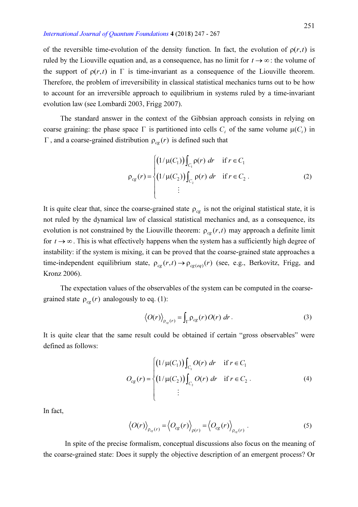of the reversible time-evolution of the density function. In fact, the evolution of  $\rho(r, t)$  is ruled by the Liouville equation and, as a consequence, has no limit for  $t \to \infty$ : the volume of the support of  $\rho(r, t)$  in  $\Gamma$  is time-invariant as a consequence of the Liouville theorem. Therefore, the problem of irreversibility in classical statistical mechanics turns out to be how to account for an irreversible approach to equilibrium in systems ruled by a time-invariant evolution law (see Lombardi 2003, Frigg 2007).

The standard answer in the context of the Gibbsian approach consists in relying on coarse graining: the phase space  $\Gamma$  is partitioned into cells  $C_i$  of the same volume  $\mu(C_i)$  in  $\Gamma$ , and a coarse-grained distribution  $\rho_{\rm ce}(r)$  is defined such that

$$
\rho_{cg}(r) = \begin{cases}\n(1/\mu(C_1)) \int_{C_1} \rho(r) dr & \text{if } r \in C_1 \\
(1/\mu(C_2)) \int_{C_2} \rho(r) dr & \text{if } r \in C_2\n\end{cases}
$$
\n(2)

It is quite clear that, since the coarse-grained state  $\rho_{cg}$  is not the original statistical state, it is not ruled by the dynamical law of classical statistical mechanics and, as a consequence, its evolution is not constrained by the Liouville theorem:  $\rho_{cg}(r,t)$  may approach a definite limit for  $t \to \infty$ . This is what effectively happens when the system has a sufficiently high degree of instability: if the system is mixing, it can be proved that the coarse-grained state approaches a time-independent equilibrium state,  $\rho_{cg}(r, t) \rightarrow \rho_{cg(eq)}(r)$  (see, e.g., Berkovitz, Frigg, and Kronz 2006).

The expectation values of the observables of the system can be computed in the coarsegrained state  $\rho_{\rm ce}(r)$  analogously to eq. (1):

$$
\langle O(r) \rangle_{\rho_{cg}(r)} = \int_{\Gamma} \rho_{cg}(r) O(r) \, dr \,. \tag{3}
$$

It is quite clear that the same result could be obtained if certain "gross observables" were defined as follows:

$$
O_{cg}(r) = \begin{cases} (1/\mu(C_1)) \int_{C_1} O(r) dr & \text{if } r \in C_1 \\ (1/\mu(C_2)) \int_{C_2} O(r) dr & \text{if } r \in C_2 \end{cases}
$$
 (4)  
...

In fact,

$$
\langle O(r) \rangle_{\rho_{cg}(r)} = \langle O_{cg}(r) \rangle_{\rho(r)} = \langle O_{cg}(r) \rangle_{\rho_{cg}(r)} . \tag{5}
$$

In spite of the precise formalism, conceptual discussions also focus on the meaning of the coarse-grained state: Does it supply the objective description of an emergent process? Or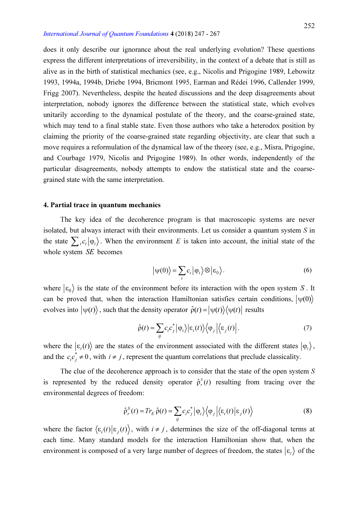does it only describe our ignorance about the real underlying evolution? These questions express the different interpretations of irreversibility, in the context of a debate that is still as alive as in the birth of statistical mechanics (see, e.g., Nicolis and Prigogine 1989, Lebowitz 1993, 1994a, 1994b, Driebe 1994, Bricmont 1995, Earman and Rédei 1996, Callender 1999, Frigg 2007). Nevertheless, despite the heated discussions and the deep disagreements about interpretation, nobody ignores the difference between the statistical state, which evolves unitarily according to the dynamical postulate of the theory, and the coarse-grained state, which may tend to a final stable state. Even those authors who take a heterodox position by claiming the priority of the coarse-grained state regarding objectivity, are clear that such a move requires a reformulation of the dynamical law of the theory (see, e.g., Misra, Prigogine, and Courbage 1979, Nicolis and Prigogine 1989). In other words, independently of the particular disagreements, nobody attempts to endow the statistical state and the coarsegrained state with the same interpretation.

## 4. Partial trace in quantum mechanics

The key idea of the decoherence program is that macroscopic systems are never isolated, but always interact with their environments. Let us consider a quantum system S in the state  $\sum_i c_i |\varphi_i\rangle$ . When the environment E is taken into account, the initial state of the whole system SE becomes

$$
\left|\psi(0)\right\rangle = \sum_{i} c_{i} \left|\varphi_{i}\right\rangle \otimes \left|\varepsilon_{0}\right\rangle. \tag{6}
$$

where  $|\epsilon_0\rangle$  is the state of the environment before its interaction with the open system S. It can be proved that, when the interaction Hamiltonian satisfies certain conditions,  $|\psi(0)\rangle$ evolves into  $|\psi(t)\rangle$ , such that the density operator  $\hat{\rho}(t) = |\psi(t)\rangle\langle \psi(t)|$  results

$$
\hat{\rho}(t) = \sum_{ij} c_i c_j^* \left| \phi_i \right\rangle \left| \epsilon_i(t) \right\rangle \left\langle \phi_j \left| \left\langle \epsilon_j(t) \right| \right. \tag{7}
$$

where the  $| \varepsilon_i(t) \rangle$  are the states of the environment associated with the different states  $| \varphi_i \rangle$ , and the  $c_i c_j^* \neq 0$ , with  $i \neq j$ , represent the quantum correlations that preclude classicality.

The clue of the decoherence approach is to consider that the state of the open system S is represented by the reduced density operator  $\hat{\rho}_r^S(t)$  $\int_{r}^{S}(t)$  resulting from tracing over the environmental degrees of freedom:

$$
\hat{\rho}_r^S(t) = Tr_E \hat{\rho}(t) = \sum_{ij} c_i c_j^* |\varphi_i\rangle \langle \varphi_j | \langle \varepsilon_i(t) | \varepsilon_j(t) \rangle
$$
\n(8)

where the factor  $\langle \varepsilon_i(t) | \varepsilon_j(t) \rangle$ , with  $i \neq j$ , determines the size of the off-diagonal terms at each time. Many standard models for the interaction Hamiltonian show that, when the environment is composed of a very large number of degrees of freedom, the states  $|\varepsilon_i\rangle$  of the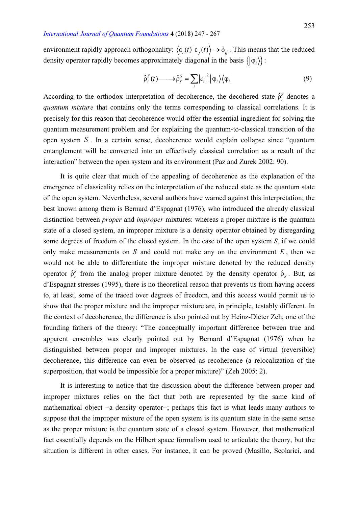environment rapidly approach orthogonality:  $\langle \varepsilon_i(t) | \varepsilon_j(t) \rangle \rightarrow \delta_{ij}$ . This means that the reduced density operator rapidly becomes approximately diagonal in the basis  $\{\vert \varphi_i \rangle \}$ :

$$
\hat{\rho}_r^S(t) \longrightarrow \hat{\rho}_r^S = \sum_i |c_i|^2 |\varphi_i\rangle \langle \varphi_i|
$$
\n(9)

According to the orthodox interpretation of decoherence, the decohered state  $\hat{\rho}_{r}^{S}$  $\frac{s}{r}$  denotes a quantum mixture that contains only the terms corresponding to classical correlations. It is precisely for this reason that decoherence would offer the essential ingredient for solving the quantum measurement problem and for explaining the quantum-to-classical transition of the open system  $S$ . In a certain sense, decoherence would explain collapse since "quantum" entanglement will be converted into an effectively classical correlation as a result of the interaction" between the open system and its environment (Paz and Zurek 2002: 90).

It is quite clear that much of the appealing of decoherence as the explanation of the emergence of classicality relies on the interpretation of the reduced state as the quantum state of the open system. Nevertheless, several authors have warned against this interpretation; the best known among them is Bernard d'Espagnat (1976), who introduced the already classical distinction between *proper* and *improper* mixtures: whereas a proper mixture is the quantum state of a closed system, an improper mixture is a density operator obtained by disregarding some degrees of freedom of the closed system. In the case of the open system S, if we could only make measurements on S and could not make any on the environment  $E$ , then we would not be able to differentiate the improper mixture denoted by the reduced density operator  $\hat{\rho}_r^{\text{S}}$  $\hat{r}$  from the analog proper mixture denoted by the density operator  $\hat{\rho}_s$ . But, as d'Espagnat stresses (1995), there is no theoretical reason that prevents us from having access to, at least, some of the traced over degrees of freedom, and this access would permit us to show that the proper mixture and the improper mixture are, in principle, testably different. In the context of decoherence, the difference is also pointed out by Heinz-Dieter Zeh, one of the founding fathers of the theory: "The conceptually important difference between true and apparent ensembles was clearly pointed out by Bernard d'Espagnat (1976) when he distinguished between proper and improper mixtures. In the case of virtual (reversible) decoherence, this difference can even be observed as recoherence (a relocalization of the superposition, that would be impossible for a proper mixture)" (Zeh 2005: 2).

It is interesting to notice that the discussion about the difference between proper and improper mixtures relies on the fact that both are represented by the same kind of mathematical object  $-a$  density operator-; perhaps this fact is what leads many authors to suppose that the improper mixture of the open system is its quantum state in the same sense as the proper mixture is the quantum state of a closed system. However, that mathematical fact essentially depends on the Hilbert space formalism used to articulate the theory, but the situation is different in other cases. For instance, it can be proved (Masillo, Scolarici, and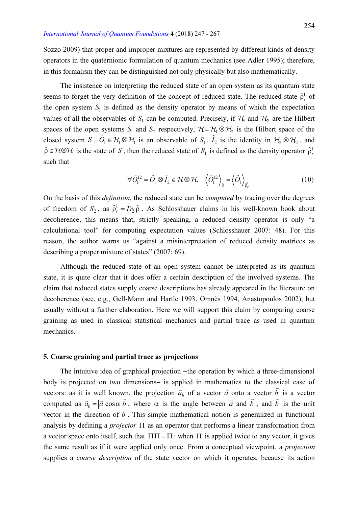Sozzo 2009) that proper and improper mixtures are represented by different kinds of density operators in the quaternionic formulation of quantum mechanics (see Adler 1995); therefore, in this formalism they can be distinguished not only physically but also mathematically.

The insistence on interpreting the reduced state of an open system as its quantum state seems to forget the very definition of the concept of reduced state. The reduced state  $\hat{\rho}_r^{\dagger}$  of the open system  $S_1$  is defined as the density operator by means of which the expectation values of all the observables of  $S_1$  can be computed. Precisely, if  $H_1$  and  $H_2$  are the Hilbert spaces of the open systems  $S_1$  and  $S_2$  respectively,  $H = H_1 \otimes H_2$  is the Hilbert space of the closed system S,  $\hat{O}_1 \in \mathcal{H} \otimes \mathcal{H}_1$  is an observable of  $S_1$ ,  $\hat{I}_2$  is the identity in  $\mathcal{H}_2 \otimes \mathcal{H}_2$ , and  $\hat{\rho} \in \mathcal{H} \otimes \mathcal{H}$  is the state of S, then the reduced state of S<sub>1</sub> is defined as the density operator  $\hat{\rho}_r^1$ such that

$$
\forall \hat{O}_1^{12} = \hat{O}_1 \otimes \hat{I}_2 \in \mathcal{H} \otimes \mathcal{H}, \quad \left\langle \hat{O}_1^{12} \right\rangle_{\hat{\rho}} = \left\langle \hat{O}_1 \right\rangle_{\hat{\rho}_r^1} \tag{10}
$$

On the basis of this *definition*, the reduced state can be *computed* by tracing over the degrees of freedom of  $S_2$ , as  $\hat{\rho}_r^1$  $\hat{\rho}_r^1 = Tr_2 \hat{\rho}$ . As Schlosshauer claims in his well-known book about decoherence, this means that, strictly speaking, a reduced density operator is only "a calculational tool" for computing expectation values (Schlosshauer 2007: 48). For this reason, the author warns us "against a misinterpretation of reduced density matrices as describing a proper mixture of states" (2007: 69).

Although the reduced state of an open system cannot be interpreted as its quantum state, it is quite clear that it does offer a certain description of the involved systems. The claim that reduced states supply coarse descriptions has already appeared in the literature on decoherence (see, e.g., Gell-Mann and Hartle 1993, Omnès 1994, Anastopoulos 2002), but usually without a further elaboration. Here we will support this claim by comparing coarse graining as used in classical statistical mechanics and partial trace as used in quantum mechanics.

#### 5. Coarse graining and partial trace as projections

The intuitive idea of graphical projection -the operation by which a three-dimensional body is projected on two dimensions- is applied in mathematics to the classical case of vectors: as it is well known, the projection  $\vec{a}_b$  of a vector  $\vec{a}$  onto a vector  $\vec{b}$  is a vector computed as  $\vec{a}_b = |\vec{a}| \cos \alpha \vec{b}$ , where  $\alpha$  is the angle between  $\vec{a}$  and  $\vec{b}$ , and  $\vec{b}$  is the unit vector in the direction of  $\vec{b}$ . This simple mathematical notion is generalized in functional  $\frac{1}{r}$ analysis by defining a *projector*  $\Pi$  as an operator that performs a linear transformation from a vector space onto itself, such that  $\Pi\Pi = \Pi$ : when  $\Pi$  is applied twice to any vector, it gives the same result as if it were applied only once. From a conceptual viewpoint, a projection supplies a *coarse description* of the state vector on which it operates, because its action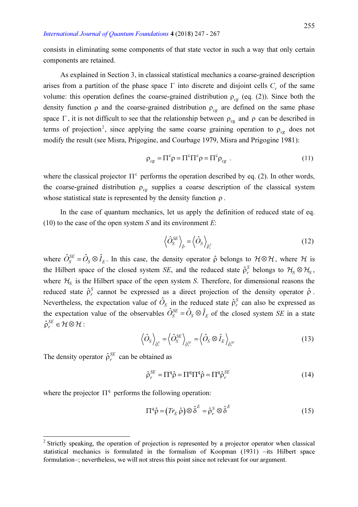consists in eliminating some components of that state vector in such a way that only certain components are retained.

As explained in Section 3, in classical statistical mechanics a coarse-grained description arises from a partition of the phase space  $\Gamma$  into discrete and disjoint cells  $C_i$  of the same volume: this operation defines the coarse-grained distribution  $\rho_{cg}$  (eq. (2)). Since both the density function  $\rho$  and the coarse-grained distribution  $\rho_{\rm ce}$  are defined on the same phase space  $\Gamma$ , it is not difficult to see that the relationship between  $\rho_{cg}$  and  $\rho$  can be described in terms of projection<sup>2</sup>, since applying the same coarse graining operation to  $\rho_{cg}$  does not modify the result (see Misra, Prigogine, and Courbage 1979, Misra and Prigogine 1981):

$$
\rho_{cg} = \Pi^c \rho = \Pi^c \Pi^c \rho = \Pi^c \rho_{cg} \tag{11}
$$

where the classical projector  $\Pi^c$  performs the operation described by eq. (2). In other words, the coarse-grained distribution  $\rho_{cg}$  supplies a coarse description of the classical system whose statistical state is represented by the density function  $\rho$ .

In the case of quantum mechanics, let us apply the definition of reduced state of eq. (10) to the case of the open system  $S$  and its environment  $E$ :

$$
\left\langle \hat{O}_S^{SE} \right\rangle_{\hat{\rho}} = \left\langle \hat{O}_S \right\rangle_{\hat{\rho}_r^S}
$$
 (12)

where  $\hat{O}^{SE}_S = \hat{O}_S \otimes \hat{I}_E$ . In this case, the density operator  $\hat{\rho}$  belongs to  $\mathcal{H} \otimes \mathcal{H}$ , where  $\mathcal{H}$  is the Hilbert space of the closed system SE, and the reduced state  $\hat{\rho}_r^S$  belongs to  $\mathcal{H}_S \otimes \mathcal{H}_S$ , where  $\mathcal{H}_S$  is the Hilbert space of the open system S. Therefore, for dimensional reasons the reduced state  $\hat{\rho}_r^S$  cannot be expressed as a direct projection of the density operator  $\hat{\rho}$ . Nevertheless, the expectation value of  $\hat{O}_s$  in the reduced state  $\hat{\rho}_r^s$  can also be expressed as the expectation value of the observables  $\hat{O}_S^{SE} = \hat{O}_S \otimes \hat{I}_E$  of the closed system SE in a state  $\hat{\rho}_r^{SE} \in \mathcal{H} \otimes \mathcal{H}$ :

$$
\left\langle \hat{O}_S \right\rangle_{\hat{\rho}_r^S} = \left\langle \hat{O}_S^{SE} \right\rangle_{\hat{\rho}_r^{SE}} = \left\langle \hat{O}_S \otimes \hat{I}_E \right\rangle_{\hat{\rho}_r^{SE}}
$$
(13)

The density operator  $\hat{\rho}_r^{SE}$  can be obtained as

 $\overline{a}$ 

$$
\hat{\rho}_r^{SE} = \Pi^q \hat{\rho} = \Pi^q \Pi^q \hat{\rho} = \Pi^q \hat{\rho}_r^{SE}
$$
\n(14)

where the projector  $\Pi^{q}$  performs the following operation:

$$
\Pi^q \hat{\rho} = (Tr_E \hat{\rho}) \otimes \tilde{\delta}^E = \hat{\rho}_r^S \otimes \tilde{\delta}^E
$$
 (15)

 $2$  Strictly speaking, the operation of projection is represented by a projector operator when classical statistical mechanics is formulated in the formalism of Koopman  $(1931)$  -its Hilbert space formulation-: nevertheless, we will not stress this point since not relevant for our argument.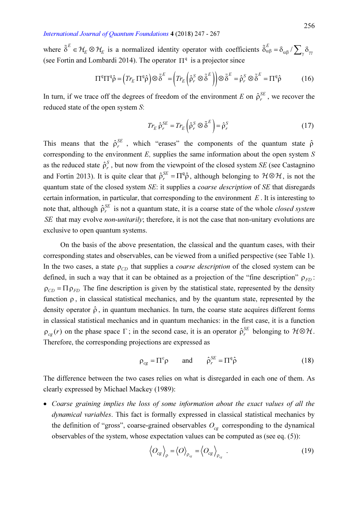where  $\tilde{\delta}^E \in \mathcal{H}_E \otimes \mathcal{H}_E$  is a normalized identity operator with coefficients  $\tilde{\delta}^E_{\alpha\beta} = \delta_{\alpha\beta}$  $\tilde{\delta}_{\alpha\beta}^{E} = \delta_{\alpha\beta} / \sum_{\gamma} \delta_{\gamma\gamma}$ (see Fortin and Lombardi 2014). The operator  $\Pi^q$  is a projector since

$$
\Pi^{\mathbf{q}}\Pi^{\mathbf{q}}\hat{\rho} = \left(Tr_E \Pi^{\mathbf{q}}\hat{\rho}\right) \otimes \tilde{\delta}^E = \left(Tr_E \left(\hat{\rho}_r^S \otimes \tilde{\delta}^E\right)\right) \otimes \tilde{\delta}^E = \hat{\rho}_r^S \otimes \tilde{\delta}^E = \Pi^{\mathbf{q}}\hat{\rho}
$$
(16)

In turn, if we trace off the degrees of freedom of the environment E on  $\hat{\rho}_r^{SE}$ , we recover the reduced state of the open system S:

$$
Tr_E \hat{\rho}_r^{SE} = Tr_E \left( \hat{\rho}_r^S \otimes \tilde{\delta}^E \right) = \hat{\rho}_r^S \tag{17}
$$

This means that the  $\hat{\rho}_r^{SE}$ , which "erases" the components of the quantum state  $\hat{\rho}$ corresponding to the environment  $E$ , supplies the same information about the open system  $S$ as the reduced state  $\hat{\rho}_r^{\text{S}}$  $\sum_{r}^{S}$ , but now from the viewpoint of the closed system SE (see Castagnino) and Fortin 2013). It is quite clear that  $\hat{\rho}_r^{SE} = \Pi^q \hat{\rho}$ , although belonging to  $\mathcal{H} \otimes \mathcal{H}$ , is not the quantum state of the closed system SE: it supplies a coarse description of SE that disregards certain information, in particular, that corresponding to the environment  $E$ . It is interesting to note that, although  $\hat{\rho}_r^{SE}$  is not a quantum state, it is a coarse state of the whole *closed system* SE that may evolve *non-unitarily*; therefore, it is not the case that non-unitary evolutions are exclusive to open quantum systems.

On the basis of the above presentation, the classical and the quantum cases, with their corresponding states and observables, can be viewed from a unified perspective (see Table 1). In the two cases, a state  $\rho_{CD}$  that supplies a *coarse description* of the closed system can be defined, in such a way that it can be obtained as a projection of the "fine description"  $\rho_{FD}$ :  $\rho_{CD} = \Pi \rho_{FD}$  The fine description is given by the statistical state, represented by the density function  $\rho$ , in classical statistical mechanics, and by the quantum state, represented by the density operator  $\hat{\rho}$ , in quantum mechanics. In turn, the coarse state acquires different forms in classical statistical mechanics and in quantum mechanics: in the first case, it is a function  $\rho_{cg}(r)$  on the phase space  $\Gamma$ ; in the second case, it is an operator  $\hat{\rho}_r^{SE}$  belonging to  $H \otimes H$ . Therefore, the corresponding projections are expressed as

$$
\rho_{cg} = \Pi^c \rho \qquad \text{and} \qquad \hat{\rho}_r^{SE} = \Pi^q \hat{\rho} \tag{18}
$$

The difference between the two cases relies on what is disregarded in each one of them. As clearly expressed by Michael Mackey (1989):

• Coarse graining implies the loss of some information about the exact values of all the dynamical variables. This fact is formally expressed in classical statistical mechanics by the definition of "gross", coarse-grained observables  $O_{cg}$  corresponding to the dynamical observables of the system, whose expectation values can be computed as (see eq. (5)):

$$
\left\langle O_{cg} \right\rangle_{\rho} = \left\langle O \right\rangle_{\rho_{cg}} = \left\langle O_{cg} \right\rangle_{\rho_{cg}} . \tag{19}
$$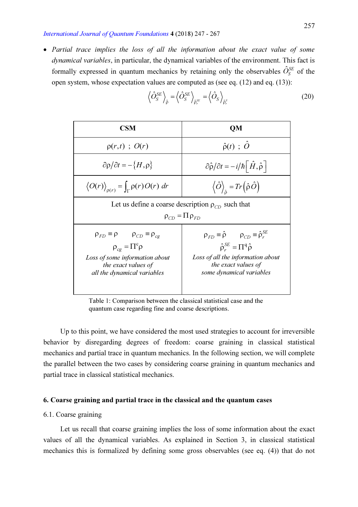• Partial trace implies the loss of all the information about the exact value of some dynamical variables, in particular, the dynamical variables of the environment. This fact is formally expressed in quantum mechanics by retaining only the observables  $\hat{O}_S^{SE}$  of the open system, whose expectation values are computed as (see eq. (12) and eq. (13)):

| <b>CSM</b>                                                                                    | <b>QM</b>                                                                    |                               |                                        |
|-----------------------------------------------------------------------------------------------|------------------------------------------------------------------------------|-------------------------------|----------------------------------------|
| $\rho(r,t)$ ; $O(r)$                                                                          | $\hat{\rho}(t)$ ; $\hat{O}$                                                  |                               |                                        |
| $\partial \rho/\partial t = -\{H, \rho\}$                                                     | $\partial \hat{\rho}/\partial t = -i/\hbar \left[\hat{H}, \hat{\rho}\right]$ |                               |                                        |
| $\langle O(r) \rangle_{\rho(r)} = \int_{\Gamma} \rho(r) O(r) dr$                              | $\langle \hat{O} \rangle_{\hat{\rho}} = Tr(\hat{\rho} \hat{O})$              |                               |                                        |
| Let us define a coarse description $\rho_{CD}$ such that                                      |                                                                              |                               |                                        |
| $\rho_{CD} = \Pi \rho_{FD}$                                                                   |                                                                              |                               |                                        |
| $\rho_{FD} \equiv \rho$                                                                       | $\rho_{CD} \equiv \rho_{cg}$                                                 | $\rho_{FD} \equiv \hat{\rho}$ | $\rho_{CD} \equiv \hat{\rho}_{r}^{SE}$ |
| $\rho_{cg} = \Pi^c \rho$                                                                      | $\hat{\rho}_{r}^{SE} = \Pi^q \hat{\rho}$                                     |                               |                                        |
| Loss of some information about the exact values of the exact values of the external variables |                                                                              |                               |                                        |
| all the dynamical variables                                                                   | some dynamical variables                                                     |                               |                                        |

$$
\left\langle \hat{O}_{S}^{SE} \right\rangle_{\hat{\rho}} = \left\langle \hat{O}_{S}^{SE} \right\rangle_{\hat{\rho}_{r}^{SE}} = \left\langle \hat{O}_{S} \right\rangle_{\hat{\rho}_{r}^{S}}
$$
(20)

Table 1: Comparison between the classical statistical case and the quantum case regarding fine and coarse descriptions.

Up to this point, we have considered the most used strategies to account for irreversible behavior by disregarding degrees of freedom: coarse graining in classical statistical mechanics and partial trace in quantum mechanics. In the following section, we will complete the parallel between the two cases by considering coarse graining in quantum mechanics and partial trace in classical statistical mechanics.

## 6. Coarse graining and partial trace in the classical and the quantum cases

## 6.1. Coarse graining

Let us recall that coarse graining implies the loss of some information about the exact values of all the dynamical variables. As explained in Section 3, in classical statistical mechanics this is formalized by defining some gross observables (see eq. (4)) that do not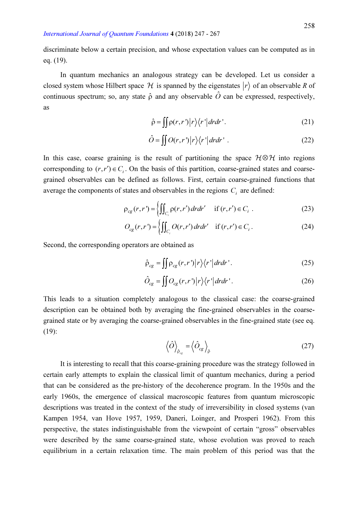discriminate below a certain precision, and whose expectation values can be computed as in eq. (19).

In quantum mechanics an analogous strategy can be developed. Let us consider a closed system whose Hilbert space  $\mathcal H$  is spanned by the eigenstates  $|r\rangle$  of an observable R of continuous spectrum; so, any state  $\hat{\rho}$  and any observable  $\hat{O}$  can be expressed, respectively, as

$$
\hat{\rho} = \iint p(r, r') |r\rangle\langle r'| dr dr'.
$$
 (21)

$$
\hat{O} = \iint O(r, r') \left| r \right\rangle \left\langle r' \left| dr dr' \right. . \tag{22}
$$

In this case, coarse graining is the result of partitioning the space  $H \otimes H$  into regions corresponding to  $(r, r') \in C_i$ . On the basis of this partition, coarse-grained states and coarsegrained observables can be defined as follows. First, certain coarse-grained functions that average the components of states and observables in the regions  $C_i$  are defined:

$$
\rho_{cg}(r,r') = \left\{ \iint_{C_i} \rho(r,r') dr dr' \quad \text{if } (r,r') \in C_i \right. \tag{23}
$$

$$
O_{cg}(r,r') = \left\{ \iint_{C_i} O(r,r') dr dr' \text{ if } (r,r') \in C_i. \right\}
$$
 (24)

Second, the corresponding operators are obtained as

$$
\hat{\rho}_{cg} = \iint \rho_{cg}(r, r') |r\rangle\langle r'| dr dr'.
$$
\n(25)

$$
\hat{O}_{cg} = \iint O_{cg}(r, r') |r\rangle\langle r'| dr dr'.
$$
\n(26)

This leads to a situation completely analogous to the classical case: the coarse-grained description can be obtained both by averaging the fine-grained observables in the coarsegrained state or by averaging the coarse-grained observables in the fine-grained state (see eq. (19):

$$
\left\langle \hat{O} \right\rangle_{\hat{\rho}_{cg}} = \left\langle \hat{O}_{cg} \right\rangle_{\hat{\rho}}
$$
 (27)

It is interesting to recall that this coarse-graining procedure was the strategy followed in certain early attempts to explain the classical limit of quantum mechanics, during a period that can be considered as the pre-history of the decoherence program. In the 1950s and the early 1960s, the emergence of classical macroscopic features from quantum microscopic descriptions was treated in the context of the study of irreversibility in closed systems (van Kampen 1954, van Hove 1957, 1959, Daneri, Loinger, and Prosperi 1962). From this perspective, the states indistinguishable from the viewpoint of certain "gross" observables were described by the same coarse-grained state, whose evolution was proved to reach equilibrium in a certain relaxation time. The main problem of this period was that the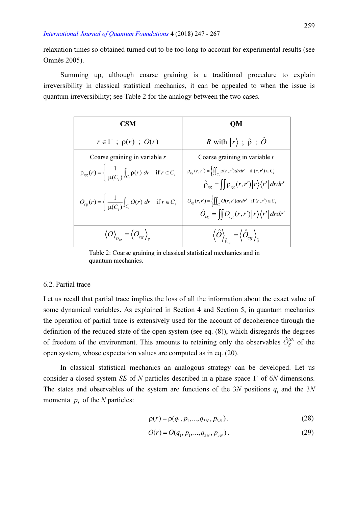relaxation times so obtained turned out to be too long to account for experimental results (see Omnès 2005).

Summing up, although coarse graining is a traditional procedure to explain irreversibility in classical statistical mechanics, it can be appealed to when the issue is quantum irreversibility; see Table 2 for the analogy between the two cases.

| CSM                                                                                                  | OМ                                                                                                                                                                                               |
|------------------------------------------------------------------------------------------------------|--------------------------------------------------------------------------------------------------------------------------------------------------------------------------------------------------|
| $r \in \Gamma$ ; $\rho(r)$ ; $O(r)$                                                                  | R with $ r\rangle$ ; $\hat{\rho}$ ; $\hat{O}$                                                                                                                                                    |
| Coarse graining in variable $r$                                                                      | Coarse graining in variable $r$                                                                                                                                                                  |
| $\rho_{cg}(r) = \frac{1}{\mu(C_i)} \int_{C_i} \rho(r) dr \quad \text{if } r \in C_i$                 | $\rho_{cg}(r,r') = \left\{ \iint_{C_i} \rho(r,r') dr dr' \text{ if } (r,r') \in C_i \right\}$<br>$\hat{\rho}_{cg} = \iint \rho_{cg}(r,r') \left  r \right\rangle \left\langle r' \right  dr dr'$ |
| $O_{cg}(r) = \begin{cases} \frac{1}{\mu(C_i)} \int_{C_i} O(r) dr & \text{if } r \in C_i \end{cases}$ | $O_{cg}(r,r') = \left\{ \iint_{C_i} O(r,r') dr dr' \text{ if } (r,r') \in C_i \right\}$<br>$\hat{O}_{cg} = \iint O_{cg}(r,r') \left  r \right\rangle \left\langle r' \right  dr dr'$             |
| $\langle O\rangle_{\rho_{cg}} = \langle O_{cg}\rangle_{\rho_{cg}}$                                   | $\left\langle \hat{O}\right\rangle_{\hat{\rho}_{cr}} = \left\langle \hat{O}_{cg}\right\rangle_{\hat{\rho}_{cr}}$                                                                                 |

Table 2: Coarse graining in classical statistical mechanics and in quantum mechanics.

## 6.2. Partial trace

Let us recall that partial trace implies the loss of all the information about the exact value of some dynamical variables. As explained in Section 4 and Section 5, in quantum mechanics the operation of partial trace is extensively used for the account of decoherence through the definition of the reduced state of the open system (see eq. (8)), which disregards the degrees of freedom of the environment. This amounts to retaining only the observables  $\hat{O}_S^{SE}$  of the open system, whose expectation values are computed as in eq. (20).

In classical statistical mechanics an analogous strategy can be developed. Let us consider a closed system SE of N particles described in a phase space  $\Gamma$  of 6N dimensions. The states and observables of the system are functions of the 3N positions  $q_i$  and the 3N momenta  $p_i$  of the N particles:

$$
\rho(r) = \rho(q_1, p_1, ..., q_{3N}, p_{3N}). \tag{28}
$$

$$
O(r) = O(q_1, p_1, \dots, q_{3N}, p_{3N}).
$$
\n(29)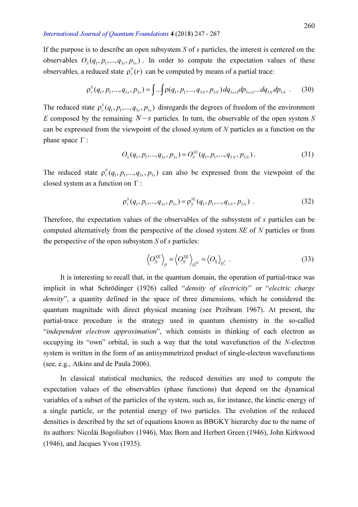If the purpose is to describe an open subsystem  $S$  of  $s$  particles, the interest is centered on the observables  $O_s(q_1, p_1, ..., q_{3s}, p_{3s})$ . In order to compute the expectation values of these observables, a reduced state  $\rho_r^S(r)$  can be computed by means of a partial trace:

$$
\rho_r^S(q_1, p_1, ..., q_{3s}, p_{3s}) = \int ... \int \rho(q_1, p_1, ..., q_{3N}, p_{3N}) dq_{3s+1} dp_{3s+1} ... dq_{3N} dp_{3N} . \tag{30}
$$

The reduced state  $\rho_r^S(q_1, p_1, ..., q_{3s}, p_{3s})$  disregards the degrees of freedom of the environment E composed by the remaining  $N-s$  particles. In turn, the observable of the open system S can be expressed from the viewpoint of the closed system of  $N$  particles as a function on the phase space  $\Gamma$ :

$$
O_S(q_1, p_1, ..., q_{3s}, p_{3s}) = O_S^{SE}(q_1, p_1, ..., q_{3N}, p_{3N}).
$$
\n(31)

The reduced state  $\rho_r^S(q_1, p_1, ..., q_{3s}, p_{3s})$  can also be expressed from the viewpoint of the closed system as a function on  $\Gamma$ :

$$
\rho_r^S(q_1, p_1, ..., q_{3s}, p_{3s}) = \rho_s^{SE}(q_1, p_1, ..., q_{3N}, p_{3N}).
$$
\n(32)

Therefore, the expectation values of the observables of the subsystem of s particles can be computed alternatively from the perspective of the closed system SE of N particles or from the perspective of the open subsystem  $S$  of  $s$  particles:

$$
\left\langle O_{S}^{SE}\right\rangle_{\rho} = \left\langle O_{S}^{SE}\right\rangle_{\rho_{r}^{SE}} = \left\langle O_{S}\right\rangle_{\rho_{r}^{S}}.
$$
\n(33)

It is interesting to recall that, in the quantum domain, the operation of partial-trace was implicit in what Schrödinger (1926) called "density of electricity" or "electric charge density", a quantity defined in the space of three dimensions, which he considered the quantum magnitude with direct physical meaning (see Przibram 1967). At present, the partial-trace procedure is the strategy used in quantum chemistry in the so-called "independent electron approximation", which consists in thinking of each electron as occupying its "own" orbital, in such a way that the total wavefunction of the N-electron system is written in the form of an antisymmetrized product of single-electron wavefunctions (see, e.g., Atkins and de Paula 2006).

In classical statistical mechanics, the reduced densities are used to compute the expectation values of the observables (phase functions) that depend on the dynamical variables of a subset of the particles of the system, such as, for instance, the kinetic energy of a single particle, or the potential energy of two particles. The evolution of the reduced densities is described by the set of equations known as BBGKY hierarchy due to the name of its authors: Nicolái Bogoliubov (1946), Max Born and Herbert Green (1946), John Kirkwood (1946), and Jacques Yvon (1935).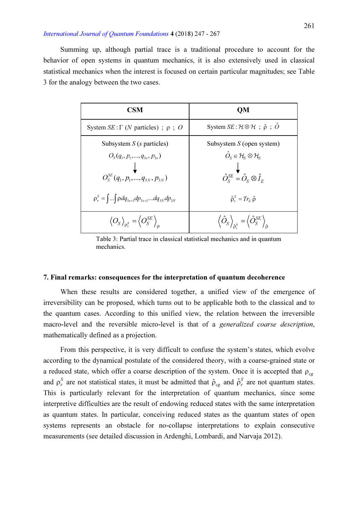Summing up, although partial trace is a traditional procedure to account for the behavior of open systems in quantum mechanics, it is also extensively used in classical statistical mechanics when the interest is focused on certain particular magnitudes; see Table 3 for the analogy between the two cases.

| CSM                                                                              | OМ                                                                                                                   |
|----------------------------------------------------------------------------------|----------------------------------------------------------------------------------------------------------------------|
| System $SE: \Gamma$ ( <i>N</i> particles); $\rho$ ; <i>O</i>                     | System $SE: \mathcal{H} \otimes \mathcal{H}$ ; $\hat{\rho}$ ; $\hat{O}$                                              |
| Subsystem $S(s)$ particles)                                                      | Subsystem $S$ (open system)                                                                                          |
| $O_s(q_1, p_1, , q_{3s}, p_{3s})$                                                | $\hat{O}_S \in \mathcal{H}_S \otimes \mathcal{H}_S$                                                                  |
| $O_s^{SE}(q_1, p_1, , q_{3N}, p_{3N})$                                           | $\hat{O}_{\rm s}^{\rm SE} = \hat{O}_{\rm s} \otimes \hat{I}_{\rm E}$                                                 |
| $\rho_r^S = \int  \int \rho dq_{3s+1} dp_{3s+1}  dq_{3N} dp_{3N}$                | $\hat{\rho}_{r}^{S} = Tr_{r} \hat{\rho}$                                                                             |
| $\langle O_S \rangle_{\mathfrak{0}^S} = \langle O_S^{SE} \rangle_{\mathfrak{0}}$ | $\left\langle \hat{O}_{S}\right\rangle _{\hat{\beta}^{S}}=\left\langle \hat{O}_{S}^{SE}\right\rangle _{\hat{\beta}}$ |

Table 3: Partial trace in classical statistical mechanics and in quantum mechanics.

#### 7. Final remarks: consequences for the interpretation of quantum decoherence

When these results are considered together, a unified view of the emergence of irreversibility can be proposed, which turns out to be applicable both to the classical and to the quantum cases. According to this unified view, the relation between the irreversible macro-level and the reversible micro-level is that of a *generalized coarse description*, mathematically defined as a projection.

From this perspective, it is very difficult to confuse the system's states, which evolve according to the dynamical postulate of the considered theory, with a coarse-grained state or a reduced state, which offer a coarse description of the system. Once it is accepted that  $\rho_{cg}$ and  $\rho_r^S$  are not statistical states, it must be admitted that  $\rho_{cg}$  and  $\rho_r^S$  are not quantum states. This is particularly relevant for the interpretation of quantum mechanics, since some interpretive difficulties are the result of endowing reduced states with the same interpretation as quantum states. In particular, conceiving reduced states as the quantum states of open systems represents an obstacle for no-collapse interpretations to explain consecutive measurements (see detailed discussion in Ardenghi, Lombardi, and Narvaja 2012).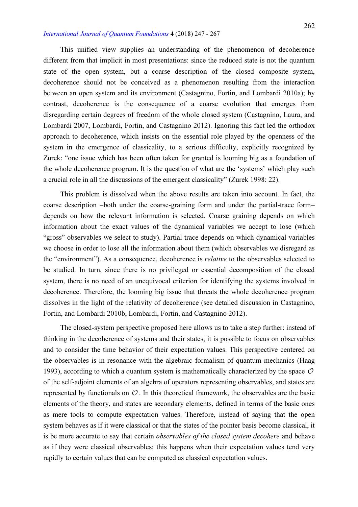This unified view supplies an understanding of the phenomenon of decoherence different from that implicit in most presentations: since the reduced state is not the quantum state of the open system, but a coarse description of the closed composite system, decoherence should not be conceived as a phenomenon resulting from the interaction between an open system and its environment (Castagnino, Fortin, and Lombardi 2010a); by contrast, decoherence is the consequence of a coarse evolution that emerges from disregarding certain degrees of freedom of the whole closed system (Castagnino, Laura, and Lombardi 2007, Lombardi, Fortin, and Castagnino 2012). Ignoring this fact led the orthodox approach to decoherence, which insists on the essential role played by the openness of the system in the emergence of classicality, to a serious difficulty, explicitly recognized by Zurek: "one issue which has been often taken for granted is looming big as a foundation of the whole decoherence program. It is the question of what are the 'systems' which play such a crucial role in all the discussions of the emergent classicality" (Zurek 1998: 22).

This problem is dissolved when the above results are taken into account. In fact, the coarse description -both under the coarse-graining form and under the partial-trace formdepends on how the relevant information is selected. Coarse graining depends on which information about the exact values of the dynamical variables we accept to lose (which "gross" observables we select to study). Partial trace depends on which dynamical variables we choose in order to lose all the information about them (which observables we disregard as the "environment"). As a consequence, decoherence is relative to the observables selected to be studied. In turn, since there is no privileged or essential decomposition of the closed system, there is no need of an unequivocal criterion for identifying the systems involved in decoherence. Therefore, the looming big issue that threats the whole decoherence program dissolves in the light of the relativity of decoherence (see detailed discussion in Castagnino, Fortin, and Lombardi 2010b, Lombardi, Fortin, and Castagnino 2012).

The closed-system perspective proposed here allows us to take a step further: instead of thinking in the decoherence of systems and their states, it is possible to focus on observables and to consider the time behavior of their expectation values. This perspective centered on the observables is in resonance with the algebraic formalism of quantum mechanics (Haag 1993), according to which a quantum system is mathematically characterized by the space  $\mathcal O$ of the self-adjoint elements of an algebra of operators representing observables, and states are represented by functionals on  $\mathcal{O}$ . In this theoretical framework, the observables are the basic elements of the theory, and states are secondary elements, defined in terms of the basic ones as mere tools to compute expectation values. Therefore, instead of saying that the open system behaves as if it were classical or that the states of the pointer basis become classical, it is be more accurate to say that certain *observables of the closed system decohere* and behave as if they were classical observables; this happens when their expectation values tend very rapidly to certain values that can be computed as classical expectation values.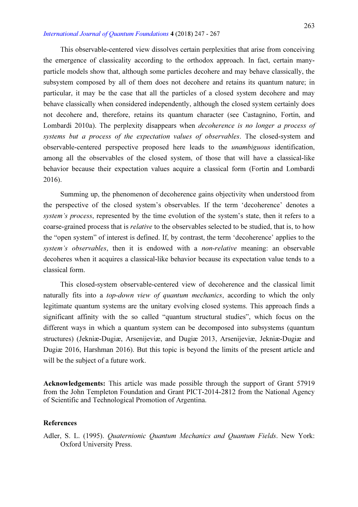This observable-centered view dissolves certain perplexities that arise from conceiving the emergence of classicality according to the orthodox approach. In fact, certain manyparticle models show that, although some particles decohere and may behave classically, the subsystem composed by all of them does not decohere and retains its quantum nature; in particular, it may be the case that all the particles of a closed system decohere and may behave classically when considered independently, although the closed system certainly does not decohere and, therefore, retains its quantum character (see Castagnino, Fortin, and Lombardi 2010a). The perplexity disappears when decoherence is no longer a process of systems but a process of the expectation values of observables. The closed-system and observable-centered perspective proposed here leads to the unambiguous identification, among all the observables of the closed system, of those that will have a classical-like behavior because their expectation values acquire a classical form (Fortin and Lombardi 2016).

Summing up, the phenomenon of decoherence gains objectivity when understood from the perspective of the closed system's observables. If the term 'decoherence' denotes a system's process, represented by the time evolution of the system's state, then it refers to a coarse-grained process that is relative to the observables selected to be studied, that is, to how the "open system" of interest is defined. If, by contrast, the term 'decoherence' applies to the system's observables, then it is endowed with a *non-relative* meaning; an observable decoheres when it acquires a classical-like behavior because its expectation value tends to a classical form.

This closed-system observable-centered view of decoherence and the classical limit naturally fits into a top-down view of quantum mechanics, according to which the only legitimate quantum systems are the unitary evolving closed systems. This approach finds a significant affinity with the so called "quantum structural studies", which focus on the different ways in which a quantum system can be decomposed into subsystems (quantum structures) (Jekniæ-Dugiæ, Arsenijeviæ, and Dugiæ 2013, Arsenijeviæ, Jekniæ-Dugiæ and Dugiæ 2016, Harshman 2016). But this topic is beyond the limits of the present article and will be the subject of a future work.

Acknowledgements: This article was made possible through the support of Grant 57919 from the John Templeton Foundation and Grant PICT-2014-2812 from the National Agency of Scientific and Technological Promotion of Argentina.

## References

Adler, S. L. (1995). Quaternionic Quantum Mechanics and Quantum Fields. New York: Oxford University Press.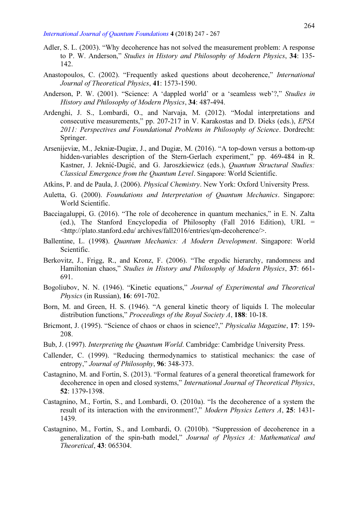- Adler, S. L. (2003). "Why decoherence has not solved the measurement problem: A response to P. W. Anderson," Studies in History and Philosophy of Modern Physics, 34: 135- 142.
- Anastopoulos, C. (2002). "Frequently asked questions about decoherence," International Journal of Theoretical Physics, 41: 1573-1590.
- Anderson, P. W. (2001). "Science: A 'dappled world' or a 'seamless web'?," Studies in History and Philosophy of Modern Physics, 34: 487-494.
- Ardenghi, J. S., Lombardi, O., and Narvaja, M. (2012). "Modal interpretations and consecutive measurements," pp. 207-217 in V. Karakostas and D. Dieks (eds.), EPSA 2011: Perspectives and Foundational Problems in Philosophy of Science. Dordrecht: Springer.
- Arsenijeviæ, M., Jekniæ-Dugiæ, J., and Dugiæ, M. (2016). "A top-down versus a bottom-up hidden-variables description of the Stern-Gerlach experiment," pp. 469-484 in R. Kastner, J. Jeknić-Dugić, and G. Jaroszkiewicz (eds.), Quantum Structural Studies: Classical Emergence from the Quantum Level. Singapore: World Scientific.
- Atkins, P. and de Paula, J. (2006). Physical Chemistry. New York: Oxford University Press.
- Auletta, G. (2000). Foundations and Interpretation of Quantum Mechanics. Singapore: World Scientific.
- Bacciagaluppi, G. (2016). "The role of decoherence in quantum mechanics," in E. N. Zalta (ed.), The Stanford Encyclopedia of Philosophy (Fall 2016 Edition), URL = <http://plato.stanford.edu/ archives/fall2016/entries/qm-decoherence/>.
- Ballentine, L. (1998). Quantum Mechanics: A Modern Development. Singapore: World Scientific.
- Berkovitz, J., Frigg, R., and Kronz, F. (2006). "The ergodic hierarchy, randomness and Hamiltonian chaos," Studies in History and Philosophy of Modern Physics, 37: 661- 691.
- Bogoliubov, N. N. (1946). "Kinetic equations," Journal of Experimental and Theoretical Physics (in Russian), 16: 691-702.
- Born, M. and Green, H. S. (1946). "A general kinetic theory of liquids I. The molecular distribution functions," Proceedings of the Royal Society A, 188: 10-18.
- Bricmont, J. (1995). "Science of chaos or chaos in science?," Physicalia Magazine, 17: 159-208.
- Bub, J. (1997). Interpreting the Quantum World. Cambridge: Cambridge University Press.
- Callender, C. (1999). "Reducing thermodynamics to statistical mechanics: the case of entropy," Journal of Philosophy, 96: 348-373.
- Castagnino, M. and Fortin, S. (2013). "Formal features of a general theoretical framework for decoherence in open and closed systems," International Journal of Theoretical Physics, 52: 1379-1398.
- Castagnino, M., Fortin, S., and Lombardi, O. (2010a). "Is the decoherence of a system the result of its interaction with the environment?," Modern Physics Letters A, 25: 1431-1439.
- Castagnino, M., Fortin, S., and Lombardi, O. (2010b). "Suppression of decoherence in a generalization of the spin-bath model," Journal of Physics A: Mathematical and Theoretical, 43: 065304.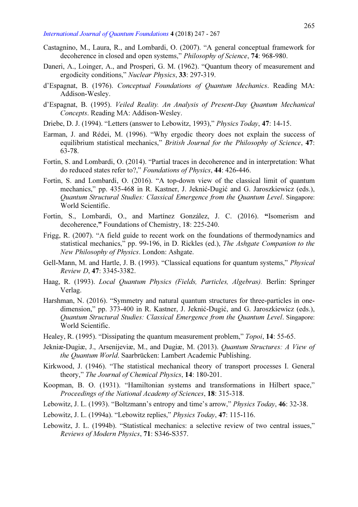- Castagnino, M., Laura, R., and Lombardi, O. (2007). "A general conceptual framework for decoherence in closed and open systems," Philosophy of Science, 74: 968-980.
- Daneri, A., Loinger, A., and Prosperi, G. M. (1962). "Quantum theory of measurement and ergodicity conditions," Nuclear Physics, 33: 297-319.
- d'Espagnat, B. (1976). Conceptual Foundations of Quantum Mechanics. Reading MA: Addison-Wesley.
- d'Espagnat, B. (1995). Veiled Reality. An Analysis of Present-Day Quantum Mechanical Concepts. Reading MA: Addison-Wesley.
- Driebe, D. J. (1994). "Letters (answer to Lebowitz, 1993)," Physics Today, 47: 14-15.
- Earman, J. and Rédei, M. (1996). "Why ergodic theory does not explain the success of equilibrium statistical mechanics," British Journal for the Philosophy of Science, 47: 63-78.
- Fortin, S. and Lombardi, O. (2014). "Partial traces in decoherence and in interpretation: What do reduced states refer to?," Foundations of Physics, 44: 426-446.
- Fortin, S. and Lombardi, O. (2016). "A top-down view of the classical limit of quantum mechanics," pp. 435-468 in R. Kastner, J. Jeknić-Dugić and G. Jaroszkiewicz (eds.), Quantum Structural Studies: Classical Emergence from the Quantum Level. Singapore: World Scientific.
- Fortin, S., Lombardi, O., and Martínez González, J. C. (2016). "Isomerism and decoherence," Foundations of Chemistry, 18: 225-240.
- Frigg, R. (2007). "A field guide to recent work on the foundations of thermodynamics and statistical mechanics," pp. 99-196, in D. Rickles (ed.), The Ashgate Companion to the New Philosophy of Physics. London: Ashgate.
- Gell-Mann, M. and Hartle, J. B. (1993). "Classical equations for quantum systems," Physical Review D, 47: 3345-3382.
- Haag, R. (1993). Local Quantum Physics (Fields, Particles, Algebras). Berlin: Springer Verlag.
- Harshman, N. (2016). "Symmetry and natural quantum structures for three-particles in onedimension," pp. 373-400 in R. Kastner, J. Jeknić-Dugić, and G. Jaroszkiewicz (eds.), Quantum Structural Studies: Classical Emergence from the Quantum Level. Singapore: World Scientific.
- Healey, R. (1995). "Dissipating the quantum measurement problem," *Topoi*, 14: 55-65.
- Jekniæ-Dugiæ, J., Arsenijeviæ, M., and Dugiæ, M. (2013). Quantum Structures: A View of the Quantum World. Saarbrücken: Lambert Academic Publishing.
- Kirkwood, J. (1946). "The statistical mechanical theory of transport processes I. General theory," The Journal of Chemical Physics, 14: 180-201.
- Koopman, B. O. (1931). "Hamiltonian systems and transformations in Hilbert space," Proceedings of the National Academy of Sciences, 18: 315-318.
- Lebowitz, J. L. (1993). "Boltzmann's entropy and time's arrow," Physics Today, 46: 32-38.
- Lebowitz, J. L. (1994a). "Lebowitz replies," Physics Today, 47: 115-116.
- Lebowitz, J. L. (1994b). "Statistical mechanics: a selective review of two central issues," Reviews of Modern Physics, 71: S346-S357.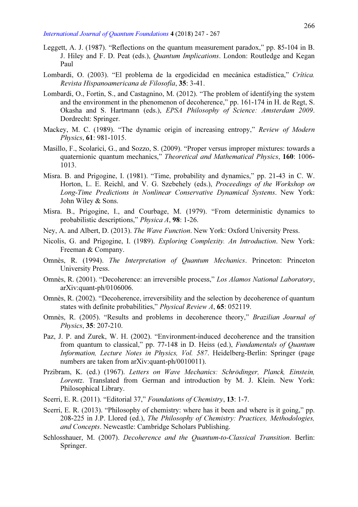- Leggett, A. J. (1987). "Reflections on the quantum measurement paradox," pp. 85-104 in B. J. Hiley and F. D. Peat (eds.), *Quantum Implications*. London: Routledge and Kegan Paul
- Lombardi, O. (2003). "El problema de la ergodicidad en mecánica estadística," Crítica. Revista Hispanoamericana de Filosofía, 35: 3-41.
- Lombardi, O., Fortin, S., and Castagnino, M. (2012). "The problem of identifying the system and the environment in the phenomenon of decoherence," pp. 161-174 in H. de Regt, S. Okasha and S. Hartmann (eds.), EPSA Philosophy of Science: Amsterdam 2009. Dordrecht: Springer.
- Mackey, M. C. (1989). "The dynamic origin of increasing entropy," Review of Modern Physics, 61: 981-1015.
- Masillo, F., Scolarici, G., and Sozzo, S. (2009). "Proper versus improper mixtures: towards a quaternionic quantum mechanics," Theoretical and Mathematical Physics, 160: 1006- 1013.
- Misra. B. and Prigogine, I. (1981). "Time, probability and dynamics," pp. 21-43 in C. W. Horton, L. E. Reichl, and V. G. Szebehely (eds.), Proceedings of the Workshop on Long-Time Predictions in Nonlinear Conservative Dynamical Systems. New York: John Wiley & Sons.
- Misra. B., Prigogine, I., and Courbage, M. (1979). "From deterministic dynamics to probabilistic descriptions," Physica A, 98: 1-26.
- Ney, A. and Albert, D. (2013). The Wave Function. New York: Oxford University Press.
- Nicolis, G. and Prigogine, I. (1989). Exploring Complexity. An Introduction. New York: Freeman & Company.
- Omnès, R. (1994). The Interpretation of Quantum Mechanics. Princeton: Princeton University Press.
- Omnès, R. (2001). "Decoherence: an irreversible process," Los Alamos National Laboratory, arXiv:quant-ph/0106006.
- Omnès, R. (2002). "Decoherence, irreversibility and the selection by decoherence of quantum states with definite probabilities," *Physical Review A*, **65**: 052119.
- Omnès, R. (2005). "Results and problems in decoherence theory," Brazilian Journal of Physics, 35: 207-210.
- Paz, J. P. and Zurek, W. H. (2002). "Environment-induced decoherence and the transition from quantum to classical," pp. 77-148 in D. Heiss (ed.), Fundamentals of Quantum Information, Lecture Notes in Physics, Vol. 587. Heidelberg-Berlin: Springer (page numbers are taken from arXiv:quant-ph/0010011).
- Przibram, K. (ed.) (1967). Letters on Wave Mechanics: Schrödinger, Planck, Einstein, Lorentz. Translated from German and introduction by M. J. Klein. New York: Philosophical Library.
- Scerri, E. R. (2011). "Editorial 37," Foundations of Chemistry, 13: 1-7.
- Scerri, E. R. (2013). "Philosophy of chemistry: where has it been and where is it going," pp. 208-225 in J.P. Llored (ed.), The Philosophy of Chemistry: Practices, Methodologies, and Concepts. Newcastle: Cambridge Scholars Publishing.
- Schlosshauer, M. (2007). Decoherence and the Quantum-to-Classical Transition. Berlin: Springer.